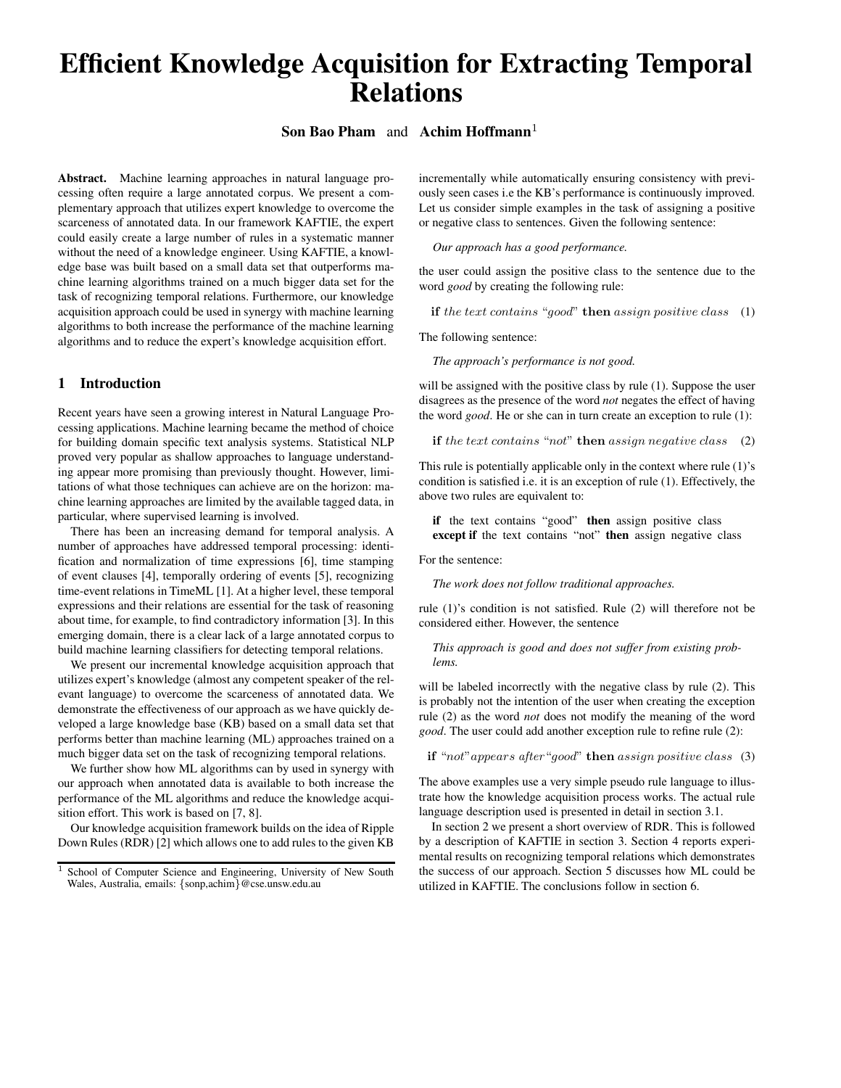# **Efficient Knowledge Acquisition for Extracting Temporal Relations**

# **Son Bao Pham** and **Achim Hoffmann**<sup>1</sup>

**Abstract.** Machine learning approaches in natural language processing often require a large annotated corpus. We present a complementary approach that utilizes expert knowledge to overcome the scarceness of annotated data. In our framework KAFTIE, the expert could easily create a large number of rules in a systematic manner without the need of a knowledge engineer. Using KAFTIE, a knowledge base was built based on a small data set that outperforms machine learning algorithms trained on a much bigger data set for the task of recognizing temporal relations. Furthermore, our knowledge acquisition approach could be used in synergy with machine learning algorithms to both increase the performance of the machine learning algorithms and to reduce the expert's knowledge acquisition effort.

## **1 Introduction**

Recent years have seen a growing interest in Natural Language Processing applications. Machine learning became the method of choice for building domain specific text analysis systems. Statistical NLP proved very popular as shallow approaches to language understanding appear more promising than previously thought. However, limitations of what those techniques can achieve are on the horizon: machine learning approaches are limited by the available tagged data, in particular, where supervised learning is involved.

There has been an increasing demand for temporal analysis. A number of approaches have addressed temporal processing: identification and normalization of time expressions [6], time stamping of event clauses [4], temporally ordering of events [5], recognizing time-event relations in TimeML [1]. At a higher level, these temporal expressions and their relations are essential for the task of reasoning about time, for example, to find contradictory information [3]. In this emerging domain, there is a clear lack of a large annotated corpus to build machine learning classifiers for detecting temporal relations.

We present our incremental knowledge acquisition approach that utilizes expert's knowledge (almost any competent speaker of the relevant language) to overcome the scarceness of annotated data. We demonstrate the effectiveness of our approach as we have quickly developed a large knowledge base (KB) based on a small data set that performs better than machine learning (ML) approaches trained on a much bigger data set on the task of recognizing temporal relations.

We further show how ML algorithms can by used in synergy with our approach when annotated data is available to both increase the performance of the ML algorithms and reduce the knowledge acquisition effort. This work is based on [7, 8].

Our knowledge acquisition framework builds on the idea of Ripple Down Rules (RDR) [2] which allows one to add rules to the given KB incrementally while automatically ensuring consistency with previously seen cases i.e the KB's performance is continuously improved. Let us consider simple examples in the task of assigning a positive or negative class to sentences. Given the following sentence:

#### *Our approach has a good performance.*

the user could assign the positive class to the sentence due to the word *good* by creating the following rule:

if the text contains "good" then assign positive class  $(1)$ 

The following sentence:

*The approach's performance is not good.*

will be assigned with the positive class by rule (1). Suppose the user disagrees as the presence of the word *not* negates the effect of having the word *good*. He or she can in turn create an exception to rule (1):

if the text contains "not" then assign negative class (2)

This rule is potentially applicable only in the context where rule (1)'s condition is satisfied i.e. it is an exception of rule (1). Effectively, the above two rules are equivalent to:

**if** the text contains "good" **then** assign positive class **except if** the text contains "not" **then** assign negative class

For the sentence:

*The work does not follow traditional approaches.*

rule (1)'s condition is not satisfied. Rule (2) will therefore not be considered either. However, the sentence

## *This approach is good and does not suffer from existing problems.*

will be labeled incorrectly with the negative class by rule (2). This is probably not the intention of the user when creating the exception rule (2) as the word *not* does not modify the meaning of the word *good*. The user could add another exception rule to refine rule (2):

if "not" appears after "good" then assign positive class  $(3)$ 

The above examples use a very simple pseudo rule language to illustrate how the knowledge acquisition process works. The actual rule language description used is presented in detail in section 3.1.

In section 2 we present a short overview of RDR. This is followed by a description of KAFTIE in section 3. Section 4 reports experimental results on recognizing temporal relations which demonstrates the success of our approach. Section 5 discusses how ML could be utilized in KAFTIE. The conclusions follow in section 6.

<sup>&</sup>lt;sup>1</sup> School of Computer Science and Engineering, University of New South Wales, Australia, emails: {sonp,achim}@cse.unsw.edu.au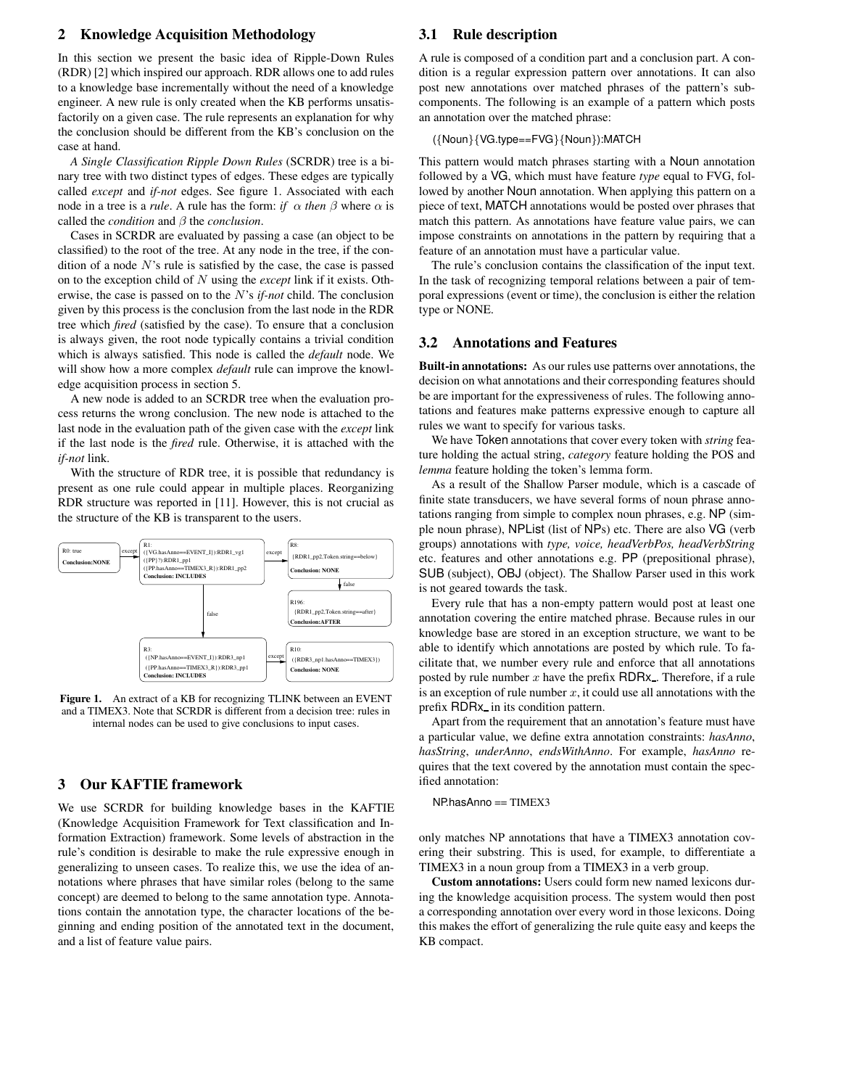## **2 Knowledge Acquisition Methodology**

In this section we present the basic idea of Ripple-Down Rules (RDR) [2] which inspired our approach. RDR allows one to add rules to a knowledge base incrementally without the need of a knowledge engineer. A new rule is only created when the KB performs unsatisfactorily on a given case. The rule represents an explanation for why the conclusion should be different from the KB's conclusion on the case at hand.

*A Single Classification Ripple Down Rules* (SCRDR) tree is a binary tree with two distinct types of edges. These edges are typically called *except* and *if-not* edges. See figure 1. Associated with each node in a tree is a *rule*. A rule has the form: *if*  $\alpha$  *then*  $\beta$  where  $\alpha$  is called the *condition* and β the *conclusion*.

Cases in SCRDR are evaluated by passing a case (an object to be classified) to the root of the tree. At any node in the tree, if the condition of a node  $N$ 's rule is satisfied by the case, the case is passed on to the exception child of N using the *except* link if it exists. Otherwise, the case is passed on to the N's *if-not* child. The conclusion given by this process is the conclusion from the last node in the RDR tree which *fired* (satisfied by the case). To ensure that a conclusion is always given, the root node typically contains a trivial condition which is always satisfied. This node is called the *default* node. We will show how a more complex *default* rule can improve the knowledge acquisition process in section 5.

A new node is added to an SCRDR tree when the evaluation process returns the wrong conclusion. The new node is attached to the last node in the evaluation path of the given case with the *except* link if the last node is the *fired* rule. Otherwise, it is attached with the *if-not* link.

With the structure of RDR tree, it is possible that redundancy is present as one rule could appear in multiple places. Reorganizing RDR structure was reported in [11]. However, this is not crucial as the structure of the KB is transparent to the users.



**Figure 1.** An extract of a KB for recognizing TLINK between an EVENT and a TIMEX3. Note that SCRDR is different from a decision tree: rules in internal nodes can be used to give conclusions to input cases.

## **3 Our KAFTIE framework**

We use SCRDR for building knowledge bases in the KAFTIE (Knowledge Acquisition Framework for Text classification and Information Extraction) framework. Some levels of abstraction in the rule's condition is desirable to make the rule expressive enough in generalizing to unseen cases. To realize this, we use the idea of annotations where phrases that have similar roles (belong to the same concept) are deemed to belong to the same annotation type. Annotations contain the annotation type, the character locations of the beginning and ending position of the annotated text in the document, and a list of feature value pairs.

#### **3.1 Rule description**

A rule is composed of a condition part and a conclusion part. A condition is a regular expression pattern over annotations. It can also post new annotations over matched phrases of the pattern's subcomponents. The following is an example of a pattern which posts an annotation over the matched phrase:

({Noun}{VG.type==FVG}{Noun}):MATCH

This pattern would match phrases starting with a Noun annotation followed by a VG, which must have feature *type* equal to FVG, followed by another Noun annotation. When applying this pattern on a piece of text, MATCH annotations would be posted over phrases that match this pattern. As annotations have feature value pairs, we can impose constraints on annotations in the pattern by requiring that a feature of an annotation must have a particular value.

The rule's conclusion contains the classification of the input text. In the task of recognizing temporal relations between a pair of temporal expressions (event or time), the conclusion is either the relation type or NONE.

### **3.2 Annotations and Features**

**Built-in annotations:** As our rules use patterns over annotations, the decision on what annotations and their corresponding features should be are important for the expressiveness of rules. The following annotations and features make patterns expressive enough to capture all rules we want to specify for various tasks.

We have Token annotations that cover every token with *string* feature holding the actual string, *category* feature holding the POS and *lemma* feature holding the token's lemma form.

As a result of the Shallow Parser module, which is a cascade of finite state transducers, we have several forms of noun phrase annotations ranging from simple to complex noun phrases, e.g. NP (simple noun phrase), NPList (list of NPs) etc. There are also VG (verb groups) annotations with *type, voice, headVerbPos, headVerbString* etc. features and other annotations e.g. PP (prepositional phrase), SUB (subject), OBJ (object). The Shallow Parser used in this work is not geared towards the task.

Every rule that has a non-empty pattern would post at least one annotation covering the entire matched phrase. Because rules in our knowledge base are stored in an exception structure, we want to be able to identify which annotations are posted by which rule. To facilitate that, we number every rule and enforce that all annotations posted by rule number  $x$  have the prefix  $RDRx$ . Therefore, if a rule is an exception of rule number  $x$ , it could use all annotations with the prefix RDRx in its condition pattern.

Apart from the requirement that an annotation's feature must have a particular value, we define extra annotation constraints: *hasAnno*, *hasString*, *underAnno*, *endsWithAnno*. For example, *hasAnno* requires that the text covered by the annotation must contain the specified annotation:

NP.hasAnno == TIMEX3

only matches NP annotations that have a TIMEX3 annotation covering their substring. This is used, for example, to differentiate a TIMEX3 in a noun group from a TIMEX3 in a verb group.

**Custom annotations:** Users could form new named lexicons during the knowledge acquisition process. The system would then post a corresponding annotation over every word in those lexicons. Doing this makes the effort of generalizing the rule quite easy and keeps the KB compact.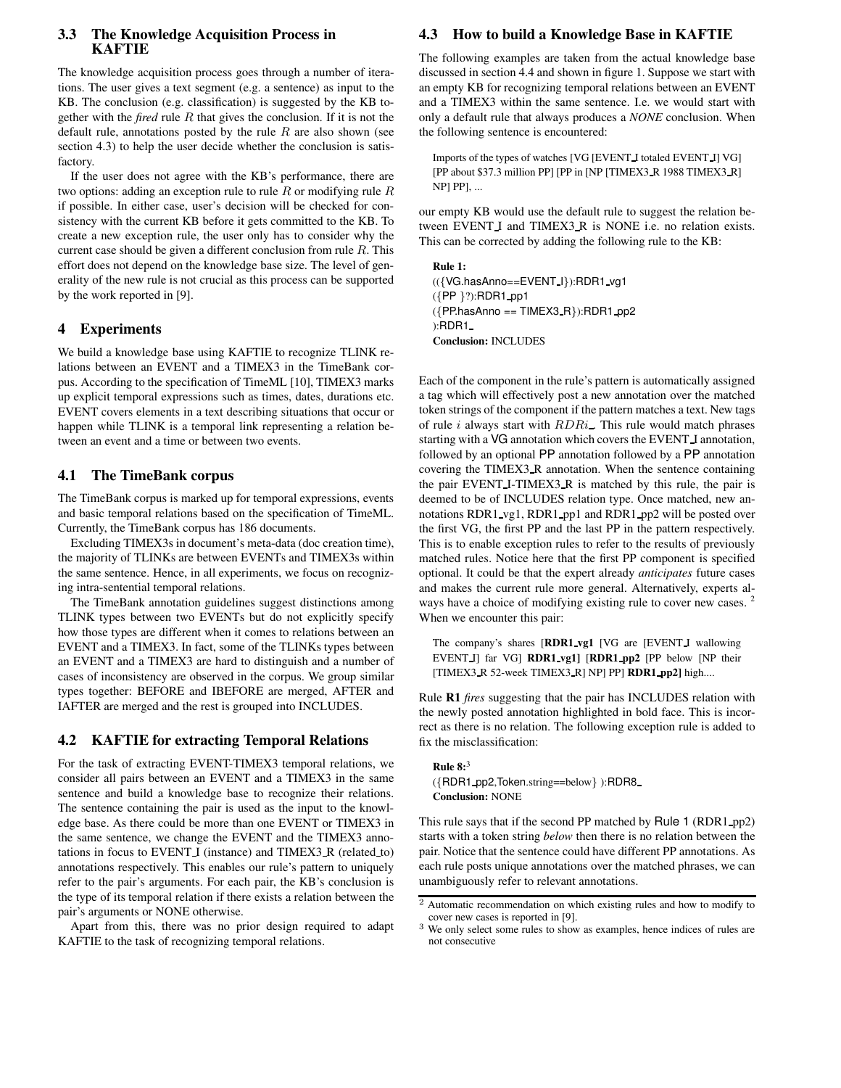## **3.3 The Knowledge Acquisition Process in KAFTIE**

The knowledge acquisition process goes through a number of iterations. The user gives a text segment (e.g. a sentence) as input to the KB. The conclusion (e.g. classification) is suggested by the KB together with the *fired* rule R that gives the conclusion. If it is not the default rule, annotations posted by the rule  $R$  are also shown (see section 4.3) to help the user decide whether the conclusion is satisfactory.

If the user does not agree with the KB's performance, there are two options: adding an exception rule to rule  $R$  or modifying rule  $R$ if possible. In either case, user's decision will be checked for consistency with the current KB before it gets committed to the KB. To create a new exception rule, the user only has to consider why the current case should be given a different conclusion from rule R. This effort does not depend on the knowledge base size. The level of generality of the new rule is not crucial as this process can be supported by the work reported in [9].

## **4 Experiments**

We build a knowledge base using KAFTIE to recognize TLINK relations between an EVENT and a TIMEX3 in the TimeBank corpus. According to the specification of TimeML [10], TIMEX3 marks up explicit temporal expressions such as times, dates, durations etc. EVENT covers elements in a text describing situations that occur or happen while TLINK is a temporal link representing a relation between an event and a time or between two events.

## **4.1 The TimeBank corpus**

The TimeBank corpus is marked up for temporal expressions, events and basic temporal relations based on the specification of TimeML. Currently, the TimeBank corpus has 186 documents.

Excluding TIMEX3s in document's meta-data (doc creation time), the majority of TLINKs are between EVENTs and TIMEX3s within the same sentence. Hence, in all experiments, we focus on recognizing intra-sentential temporal relations.

The TimeBank annotation guidelines suggest distinctions among TLINK types between two EVENTs but do not explicitly specify how those types are different when it comes to relations between an EVENT and a TIMEX3. In fact, some of the TLINKs types between an EVENT and a TIMEX3 are hard to distinguish and a number of cases of inconsistency are observed in the corpus. We group similar types together: BEFORE and IBEFORE are merged, AFTER and IAFTER are merged and the rest is grouped into INCLUDES.

# **4.2 KAFTIE for extracting Temporal Relations**

For the task of extracting EVENT-TIMEX3 temporal relations, we consider all pairs between an EVENT and a TIMEX3 in the same sentence and build a knowledge base to recognize their relations. The sentence containing the pair is used as the input to the knowledge base. As there could be more than one EVENT or TIMEX3 in the same sentence, we change the EVENT and the TIMEX3 annotations in focus to EVENT I (instance) and TIMEX3 R (related to) annotations respectively. This enables our rule's pattern to uniquely refer to the pair's arguments. For each pair, the KB's conclusion is the type of its temporal relation if there exists a relation between the pair's arguments or NONE otherwise.

Apart from this, there was no prior design required to adapt KAFTIE to the task of recognizing temporal relations.

# **4.3 How to build a Knowledge Base in KAFTIE**

The following examples are taken from the actual knowledge base discussed in section 4.4 and shown in figure 1. Suppose we start with an empty KB for recognizing temporal relations between an EVENT and a TIMEX3 within the same sentence. I.e. we would start with only a default rule that always produces a *NONE* conclusion. When the following sentence is encountered:

Imports of the types of watches [VG [EVENT I totaled EVENT I] VG] [PP about \$37.3 million PP] [PP in [NP [TIMEX3 R 1988 TIMEX3 R] NP] PP], ...

our empty KB would use the default rule to suggest the relation between EVENT I and TIMEX3 R is NONE i.e. no relation exists. This can be corrected by adding the following rule to the KB:

**Rule 1:**  $((\{VG.hasAnno==EVENT_I\}):RDR1_vq1$ ({PP }?):RDR1 pp1 ({PP.hasAnno == TIMEX3 R}):RDR1 pp2 ):RDR1 **Conclusion:** INCLUDES

Each of the component in the rule's pattern is automatically assigned a tag which will effectively post a new annotation over the matched token strings of the component if the pattern matches a text. New tags of rule  $i$  always start with  $RDRi$ . This rule would match phrases starting with a VG annotation which covers the EVENT I annotation, followed by an optional PP annotation followed by a PP annotation covering the TIMEX3 R annotation. When the sentence containing the pair EVENT I-TIMEX3 R is matched by this rule, the pair is deemed to be of INCLUDES relation type. Once matched, new annotations RDR1 vg1, RDR1 pp1 and RDR1 pp2 will be posted over the first VG, the first PP and the last PP in the pattern respectively. This is to enable exception rules to refer to the results of previously matched rules. Notice here that the first PP component is specified optional. It could be that the expert already *anticipates* future cases and makes the current rule more general. Alternatively, experts always have a choice of modifying existing rule to cover new cases.<sup>2</sup> When we encounter this pair:

The company's shares [**RDR1 vg1** [VG are [EVENT I wallowing EVENT I] far VG] **RDR1 vg1]** [**RDR1 pp2** [PP below [NP their [TIMEX3 R 52-week TIMEX3 R] NP] PP] **RDR1 pp2]** high....

Rule **R1** *fires* suggesting that the pair has INCLUDES relation with the newly posted annotation highlighted in bold face. This is incorrect as there is no relation. The following exception rule is added to fix the misclassification:

**Rule 8:**<sup>3</sup> ({RDR1 pp2,Token.string==below} ):RDR8 **Conclusion:** NONE

This rule says that if the second PP matched by Rule 1 (RDR1\_pp2) starts with a token string *below* then there is no relation between the pair. Notice that the sentence could have different PP annotations. As each rule posts unique annotations over the matched phrases, we can unambiguously refer to relevant annotations.

Automatic recommendation on which existing rules and how to modify to cover new cases is reported in [9].

<sup>3</sup> We only select some rules to show as examples, hence indices of rules are not consecutive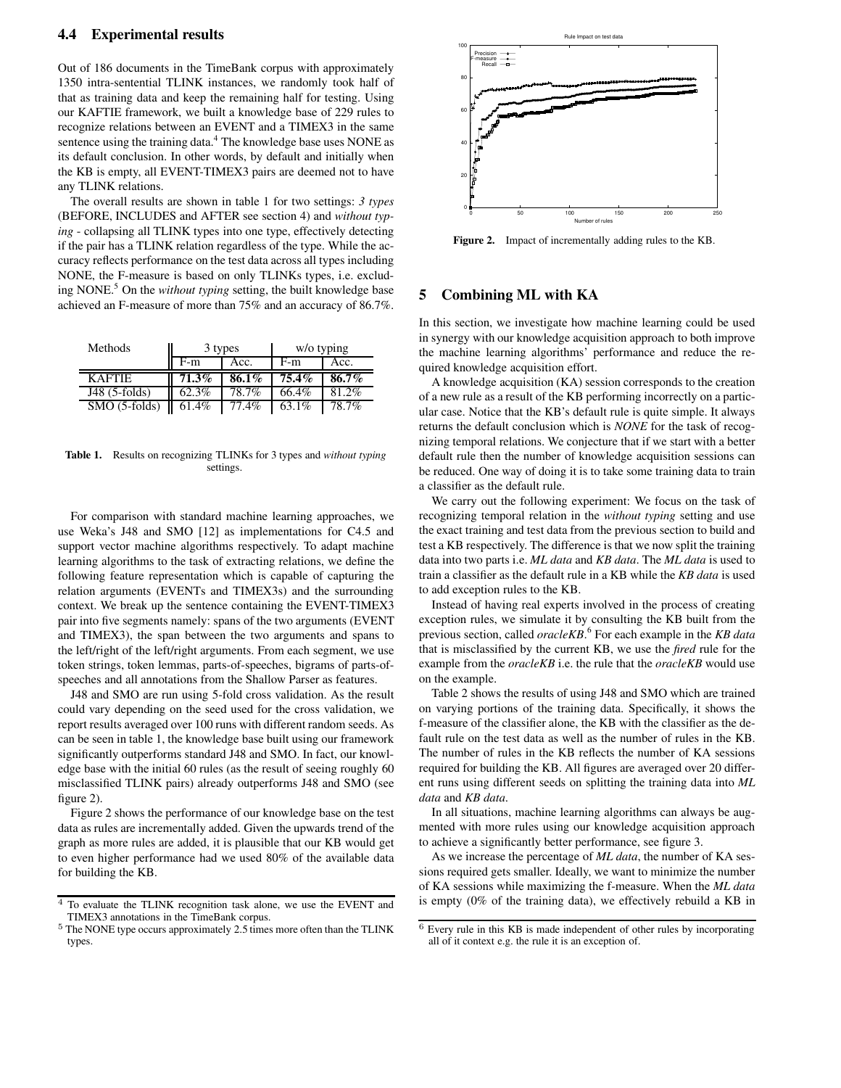#### **4.4 Experimental results**

Out of 186 documents in the TimeBank corpus with approximately 1350 intra-sentential TLINK instances, we randomly took half of that as training data and keep the remaining half for testing. Using our KAFTIE framework, we built a knowledge base of 229 rules to recognize relations between an EVENT and a TIMEX3 in the same sentence using the training data.<sup>4</sup> The knowledge base uses NONE as its default conclusion. In other words, by default and initially when the KB is empty, all EVENT-TIMEX3 pairs are deemed not to have any TLINK relations.

The overall results are shown in table 1 for two settings: *3 types* (BEFORE, INCLUDES and AFTER see section 4) and *without typing* - collapsing all TLINK types into one type, effectively detecting if the pair has a TLINK relation regardless of the type. While the accuracy reflects performance on the test data across all types including NONE, the F-measure is based on only TLINKs types, i.e. excluding NONE.<sup>5</sup> On the *without typing* setting, the built knowledge base achieved an F-measure of more than 75% and an accuracy of 86.7%.

| Methods                           | 3 types |          | $w$ /o typing |          |
|-----------------------------------|---------|----------|---------------|----------|
|                                   | F-m     | Acc.     | F-m           | Acc.     |
| <b>KAFTIE</b>                     | 71.3%   | 86.1%    | 75.4%         | $86.7\%$ |
| $J48$ (5-folds)                   | 62.3%   | 78.7%    | 66.4%         | 81.2%    |
| $\overline{\text{SMO}}$ (5-folds) | 61.4%   | $77.4\%$ |               | 78.7%    |

**Table 1.** Results on recognizing TLINKs for 3 types and *without typing* settings.

For comparison with standard machine learning approaches, we use Weka's J48 and SMO [12] as implementations for C4.5 and support vector machine algorithms respectively. To adapt machine learning algorithms to the task of extracting relations, we define the following feature representation which is capable of capturing the relation arguments (EVENTs and TIMEX3s) and the surrounding context. We break up the sentence containing the EVENT-TIMEX3 pair into five segments namely: spans of the two arguments (EVENT and TIMEX3), the span between the two arguments and spans to the left/right of the left/right arguments. From each segment, we use token strings, token lemmas, parts-of-speeches, bigrams of parts-ofspeeches and all annotations from the Shallow Parser as features.

J48 and SMO are run using 5-fold cross validation. As the result could vary depending on the seed used for the cross validation, we report results averaged over 100 runs with different random seeds. As can be seen in table 1, the knowledge base built using our framework significantly outperforms standard J48 and SMO. In fact, our knowledge base with the initial 60 rules (as the result of seeing roughly 60 misclassified TLINK pairs) already outperforms J48 and SMO (see figure 2).

Figure 2 shows the performance of our knowledge base on the test data as rules are incrementally added. Given the upwards trend of the graph as more rules are added, it is plausible that our KB would get to even higher performance had we used 80% of the available data for building the KB.



**Figure 2.** Impact of incrementally adding rules to the KB.

# **5 Combining ML with KA**

In this section, we investigate how machine learning could be used in synergy with our knowledge acquisition approach to both improve the machine learning algorithms' performance and reduce the required knowledge acquisition effort.

A knowledge acquisition (KA) session corresponds to the creation of a new rule as a result of the KB performing incorrectly on a particular case. Notice that the KB's default rule is quite simple. It always returns the default conclusion which is *NONE* for the task of recognizing temporal relations. We conjecture that if we start with a better default rule then the number of knowledge acquisition sessions can be reduced. One way of doing it is to take some training data to train a classifier as the default rule.

We carry out the following experiment: We focus on the task of recognizing temporal relation in the *without typing* setting and use the exact training and test data from the previous section to build and test a KB respectively. The difference is that we now split the training data into two parts i.e. *ML data* and *KB data*. The *ML data* is used to train a classifier as the default rule in a KB while the *KB data* is used to add exception rules to the KB.

Instead of having real experts involved in the process of creating exception rules, we simulate it by consulting the KB built from the previous section, called *oracleKB*. 6 For each example in the *KB data* that is misclassified by the current KB, we use the *fired* rule for the example from the *oracleKB* i.e. the rule that the *oracleKB* would use on the example.

Table 2 shows the results of using J48 and SMO which are trained on varying portions of the training data. Specifically, it shows the f-measure of the classifier alone, the KB with the classifier as the default rule on the test data as well as the number of rules in the KB. The number of rules in the KB reflects the number of KA sessions required for building the KB. All figures are averaged over 20 different runs using different seeds on splitting the training data into *ML data* and *KB data*.

In all situations, machine learning algorithms can always be augmented with more rules using our knowledge acquisition approach to achieve a significantly better performance, see figure 3.

As we increase the percentage of *ML data*, the number of KA sessions required gets smaller. Ideally, we want to minimize the number of KA sessions while maximizing the f-measure. When the *ML data* is empty (0% of the training data), we effectively rebuild a KB in

<sup>4</sup> To evaluate the TLINK recognition task alone, we use the EVENT and TIMEX3 annotations in the TimeBank corpus.

<sup>5</sup> The NONE type occurs approximately 2.5 times more often than the TLINK types.

<sup>6</sup> Every rule in this KB is made independent of other rules by incorporating all of it context e.g. the rule it is an exception of.